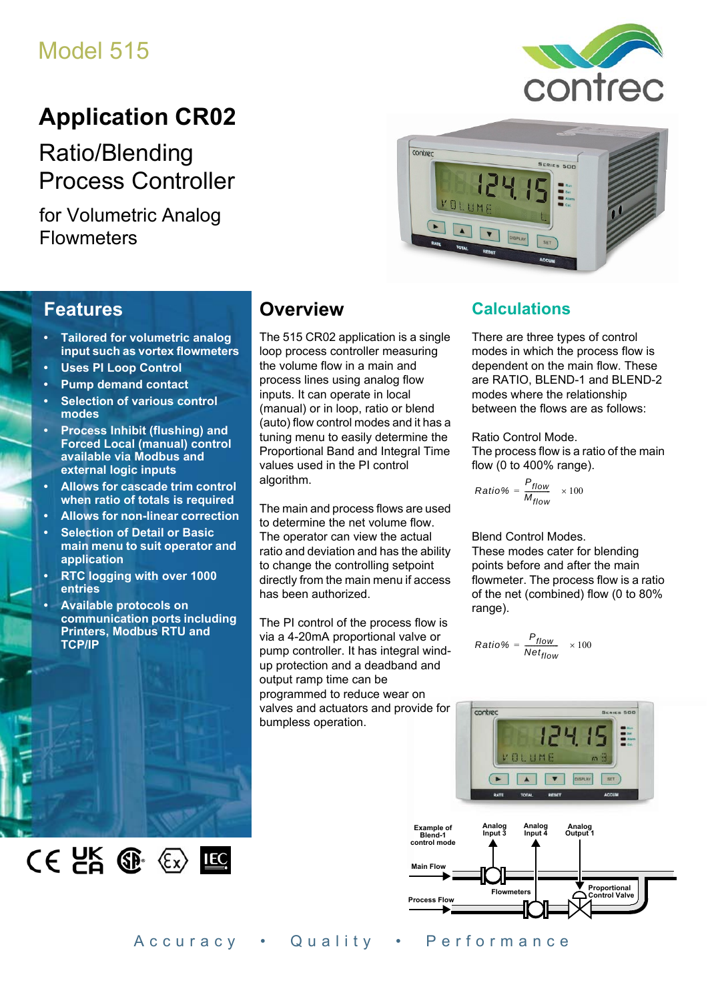# Model 515

# **Application CR02**

Ratio/Blending Process Controller

for Volumetric Analog **Flowmeters** 





## **Features**

- **Tailored for volumetric analog input such as vortex flowmeters**
- **Uses PI Loop Control**
- **Pump demand contact**
- **Selection of various control modes**
- **Process Inhibit (flushing) and Forced Local (manual) control available via Modbus and external logic inputs**
- **Allows for cascade trim control when ratio of totals is required**
- **Allows for non-linear correction**
- **Selection of Detail or Basic main menu to suit operator and application**
- **RTC logging with over 1000 entries**

 $CE$   $E$   $E$   $E$ 

**• Available protocols on communication ports including Printers, Modbus RTU and TCP/IP**

## **Overview**

The 515 CR02 application is a single loop process controller measuring the volume flow in a main and process lines using analog flow inputs. It can operate in local (manual) or in loop, ratio or blend (auto) flow control modes and it has a tuning menu to easily determine the Proportional Band and Integral Time values used in the PI control algorithm.

The main and process flows are used to determine the net volume flow. The operator can view the actual ratio and deviation and has the ability to change the controlling setpoint directly from the main menu if access has been authorized.

The PI control of the process flow is via a 4-20mA proportional valve or pump controller. It has integral windup protection and a deadband and output ramp time can be programmed to reduce wear on valves and actuators and provide for bumpless operation.

### **Calculations**

There are three types of control modes in which the process flow is dependent on the main flow. These are RATIO, BLEND-1 and BLEND-2 modes where the relationship between the flows are as follows:

Ratio Control Mode.

The process flow is a ratio of the main flow (0 to 400% range).

$$
Ratio\% = \frac{P_{flow}}{M_{flow}} \times 100
$$

Blend Control Modes.

These modes cater for blending points before and after the main flowmeter. The process flow is a ratio of the net (combined) flow (0 to 80% range).

$$
Ratio\% = \frac{P_{flow}}{Net_{flow}} \times 100
$$





Accuracy • Quality • Performance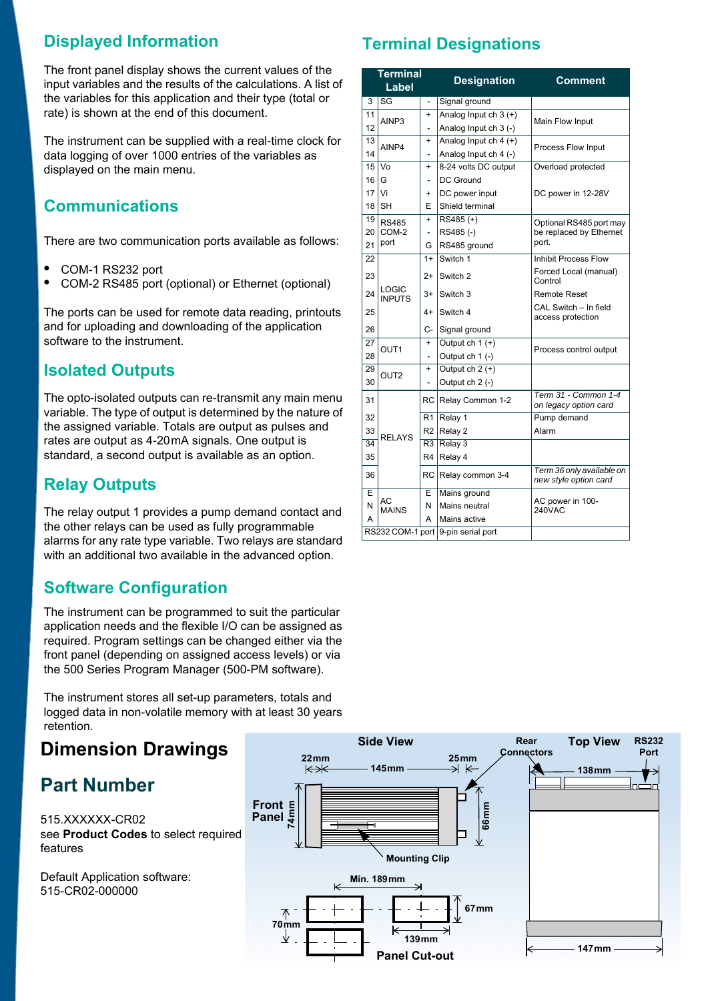### **Displayed Information**

The front panel display shows the current values of the input variables and the results of the calculations. A list of the variables for this application and their type (total or rate) is shown at the end of this document.

The instrument can be supplied with a real-time clock for data logging of over 1000 entries of the variables as displayed on the main menu.

### **Communications**

There are two communication ports available as follows:

- **•** COM-1 RS232 port
- **•** COM-2 RS485 port (optional) or Ethernet (optional)

The ports can be used for remote data reading, printouts and for uploading and downloading of the application software to the instrument.

### **Isolated Outputs**

The opto-isolated outputs can re-transmit any main menu variable. The type of output is determined by the nature of the assigned variable. Totals are output as pulses and rates are output as 4-20 mA signals. One output is standard, a second output is available as an option.

### **Relay Outputs**

The relay output 1 provides a pump demand contact and the other relays can be used as fully programmable alarms for any rate type variable. Two relays are standard with an additional two available in the advanced option.

### **Software Configuration**

The instrument can be programmed to suit the particular application needs and the flexible I/O can be assigned as required. Program settings can be changed either via the front panel (depending on assigned access levels) or via the 500 Series Program Manager (500-PM software).

The instrument stores all set-up parameters, totals and logged data in non-volatile memory with at least 30 years retention.

## **Dimension Drawings**

## **Part Number**

515.XXXXXX-CR02 see **[Product Codes](#page-3-0)** to select required features

Default Application software: 515-CR02-000000

### **Terminal Designations**

|                 | Terminal<br>Label      |                          | <b>Designation</b>                 | <b>Comment</b>                                     |  |  |
|-----------------|------------------------|--------------------------|------------------------------------|----------------------------------------------------|--|--|
| 3               | SG                     | $\overline{\phantom{0}}$ | Signal ground                      |                                                    |  |  |
| 11              | AINP3                  | $\ddot{}$                | Analog Input ch $3 (+)$            | Main Flow Input                                    |  |  |
| 12              |                        | $\overline{\phantom{a}}$ | Analog Input ch 3 (-)              |                                                    |  |  |
| 13              | AINP4                  | $\ddot{}$                | Analog Input $ch$ 4 (+)            | Process Flow Input                                 |  |  |
| 14              |                        | $\overline{a}$           | Analog Input ch 4 (-)              |                                                    |  |  |
| 15              | Vo                     | $\ddot{}$                | 8-24 volts DC output               | Overload protected                                 |  |  |
| 16              | G                      | -                        | DC Ground                          |                                                    |  |  |
| 17              | Vi                     | $\ddot{}$                | DC power input                     | DC power in 12-28V                                 |  |  |
| 18              | <b>SH</b>              | F                        | Shield terminal                    |                                                    |  |  |
| 19              | <b>RS485</b>           | $\ddot{}$                | $RS485 (+)$                        | Optional RS485 port may                            |  |  |
| 20              | COM-2                  | $\overline{\phantom{0}}$ | RS485(-)                           | be replaced by Ethernet                            |  |  |
| 21              | port                   | G                        | RS485 ground                       | port.                                              |  |  |
| 22              |                        | $1+$                     | Switch 1                           | Inhibit Process Flow                               |  |  |
| 23              |                        | $2+$                     | Switch 2                           | Forced Local (manual)<br>Control                   |  |  |
| 24              | LOGIC<br><b>INPUTS</b> | $3+$                     | Switch 3                           | <b>Remote Reset</b>                                |  |  |
| 25              |                        | $4+$                     | Switch 4                           | CAL Switch - In field<br>access protection         |  |  |
| 26              |                        | C-                       | Signal ground                      |                                                    |  |  |
| 27              | OUT <sub>1</sub>       | $\ddot{}$                | Output ch $1 (+)$                  |                                                    |  |  |
| 28              |                        |                          | Output ch 1 (-)                    | Process control output                             |  |  |
| 29              | OUT <sub>2</sub>       | $\ddot{}$                | Output $ch 2 (+)$                  |                                                    |  |  |
| 30              |                        |                          | Output ch 2 (-)                    |                                                    |  |  |
| 31              |                        |                          | RC Relay Common 1-2                | Term 31 - Common 1-4<br>on legacy option card      |  |  |
| 32              |                        | R <sub>1</sub>           | Relay 1                            | Pump demand                                        |  |  |
| 33              | <b>RELAYS</b>          | R2                       | Relay 2                            | Alarm                                              |  |  |
| $\overline{34}$ |                        | R <sub>3</sub>           | Relay 3                            |                                                    |  |  |
| 35              |                        | R <sub>4</sub>           | Relay 4                            |                                                    |  |  |
| 36              |                        | <b>RC</b>                | Relay common 3-4                   | Term 36 only available on<br>new style option card |  |  |
| E               |                        | Е                        | Mains ground                       |                                                    |  |  |
| N               | АC<br><b>MAINS</b>     | N                        | Mains neutral                      | AC power in 100-<br>240VAC                         |  |  |
| A               |                        | A                        | Mains active                       |                                                    |  |  |
|                 |                        |                          | RS232 COM-1 port 9-pin serial port |                                                    |  |  |

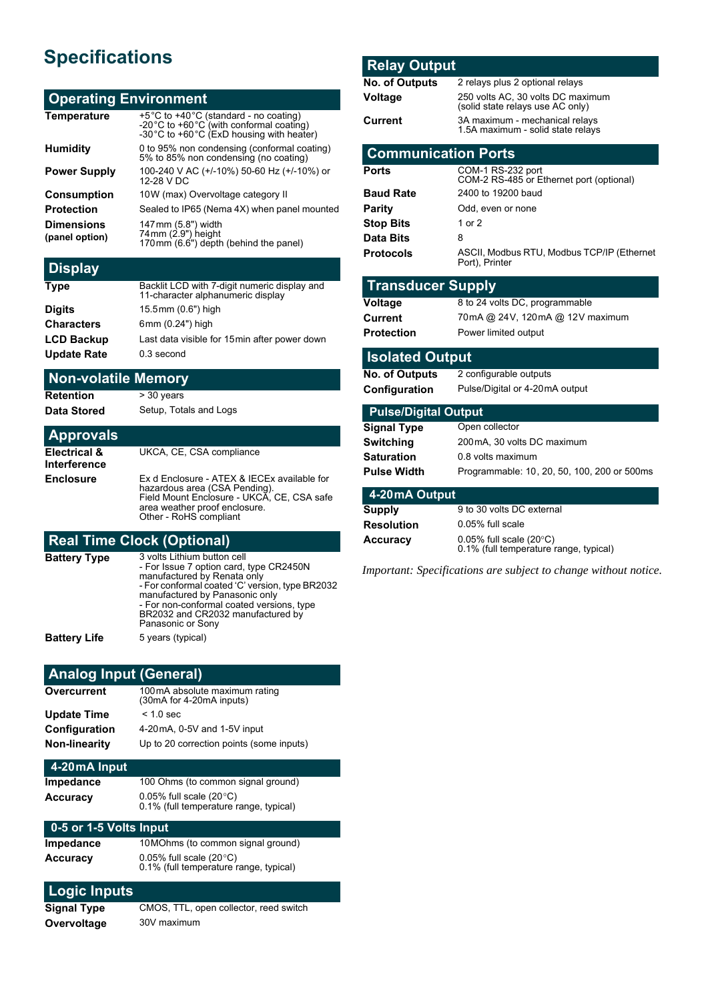## **Specifications**

#### **Operating Environment**

| <b>Temperature</b>                  | +5°C to +40°C (standard - no coating)<br>-20 °C to +60 °C (with conformal coating)<br>-30 °C to +60 °C (ExD housing with heater) |
|-------------------------------------|----------------------------------------------------------------------------------------------------------------------------------|
| <b>Humidity</b>                     | 0 to 95% non condensing (conformal coating)<br>5% to 85% non condensing (no coating)                                             |
| <b>Power Supply</b>                 | 100-240 V AC (+/-10%) 50-60 Hz (+/-10%) or<br>12-28 V DC                                                                         |
| <b>Consumption</b>                  | 10W (max) Overvoltage category II                                                                                                |
| <b>Protection</b>                   | Sealed to IP65 (Nema 4X) when panel mounted                                                                                      |
| <b>Dimensions</b><br>(panel option) | 147mm (5.8") width<br>74mm (2.9") height<br>170mm (6.6") depth (behind the panel)                                                |
|                                     |                                                                                                                                  |

### **Display**

| <b>Type</b>        | Backlit LCD with 7-digit numeric display and<br>11-character alphanumeric display |
|--------------------|-----------------------------------------------------------------------------------|
| <b>Digits</b>      | 15.5mm (0.6") high                                                                |
| <b>Characters</b>  | 6mm (0.24") high                                                                  |
| <b>LCD Backup</b>  | Last data visible for 15 min after power down                                     |
| <b>Update Rate</b> | 0.3 second                                                                        |

#### **Non-volatile Memory**

**Retention** > 30 years

**Data Stored** Setup, Totals and Logs

#### **Approvals Electrical & Interference** UKCA, CE, CSA compliance **Enclosure** Ex d Enclosure - ATEX & IECEx available for<br>hazardous area (CSA Pending). Field Mount Enclosure - UKCA, CE, CSA safe area weather proof enclosure.

### **Real Time Clock (Optional)**

| Battery Type | 3 volts Lithium button cell<br>- For Issue 7 option card, type CR2450N<br>manufactured by Renata only<br>- For conformal coated 'C' version, type BR2032<br>manufactured by Panasonic only<br>- For non-conformal coated versions, type<br>BR2032 and CR2032 manufactured by<br>Panasonic or Sony |
|--------------|---------------------------------------------------------------------------------------------------------------------------------------------------------------------------------------------------------------------------------------------------------------------------------------------------|
| Battery Life | 5 years (typical)                                                                                                                                                                                                                                                                                 |

Other - RoHS compliant

### **Analog Input (General)**

| Overcurrent          | 100mA absolute maximum rating<br>(30mA for 4-20mA inputs) |
|----------------------|-----------------------------------------------------------|
| <b>Update Time</b>   | $< 1.0$ sec                                               |
| <b>Configuration</b> | 4-20 mA, 0-5V and 1-5V input                              |
| <b>Non-linearity</b> | Up to 20 correction points (some inputs)                  |

#### **4-20 mA Input Impedance** 100 Ohms (to common signal ground)

| ------------- |                                                                            | . |  |
|---------------|----------------------------------------------------------------------------|---|--|
| Accuracy      | 0.05% full scale $(20^{\circ}C)$<br>0.1% (full temperature range, typical) |   |  |
|               |                                                                            |   |  |

#### **0-5 or 1-5 Volts Input**

| Impedance | 10 MOhms (to common signal ground)                                         |
|-----------|----------------------------------------------------------------------------|
| Accuracv  | 0.05% full scale $(20^{\circ}C)$<br>0.1% (full temperature range, typical) |

#### **Logic Inputs**

| Signal Type | CMOS, TTL, open collector, reed switch |
|-------------|----------------------------------------|
| Overvoltage | 30V maximum                            |

#### **Relay Output**

| <b>No. of Outputs</b>       | 2 relays plus 2 optional relays                                            |  |  |
|-----------------------------|----------------------------------------------------------------------------|--|--|
| Voltage                     | 250 volts AC, 30 volts DC maximum<br>(solid state relays use AC only)      |  |  |
| Current                     | 3A maximum - mechanical relays                                             |  |  |
|                             | 1.5A maximum - solid state relays                                          |  |  |
| <b>Communication Ports</b>  |                                                                            |  |  |
| Ports                       | COM-1 RS-232 port<br>COM-2 RS-485 or Ethernet port (optional)              |  |  |
| <b>Baud Rate</b>            | 2400 to 19200 baud                                                         |  |  |
| <b>Parity</b>               | Odd, even or none                                                          |  |  |
| <b>Stop Bits</b>            | 1 or 2                                                                     |  |  |
| <b>Data Bits</b>            | 8                                                                          |  |  |
| <b>Protocols</b>            | ASCII, Modbus RTU, Modbus TCP/IP (Ethernet                                 |  |  |
|                             | Port), Printer                                                             |  |  |
| <b>Transducer Supply</b>    |                                                                            |  |  |
| Voltage                     | 8 to 24 volts DC, programmable                                             |  |  |
| Current                     | 70mA @ 24V, 120mA @ 12V maximum                                            |  |  |
| <b>Protection</b>           | Power limited output                                                       |  |  |
| <b>Isolated Output</b>      |                                                                            |  |  |
| No. of Outputs              | 2 configurable outputs                                                     |  |  |
|                             |                                                                            |  |  |
| Configuration               | Pulse/Digital or 4-20mA output                                             |  |  |
| <b>Pulse/Digital Output</b> |                                                                            |  |  |
| <b>Signal Type</b>          | Open collector                                                             |  |  |
| <b>Switching</b>            | 200mA, 30 volts DC maximum                                                 |  |  |
| Saturation                  | 0.8 volts maximum                                                          |  |  |
| <b>Pulse Width</b>          | Programmable: 10, 20, 50, 100, 200 or 500ms                                |  |  |
| 4-20 mA Output              |                                                                            |  |  |
| <b>Supply</b>               | 9 to 30 volts DC external                                                  |  |  |
| <b>Resolution</b>           | 0.05% full scale                                                           |  |  |
| <b>Accuracy</b>             | 0.05% full scale $(20^{\circ}C)$<br>0.1% (full temperature range, typical) |  |  |